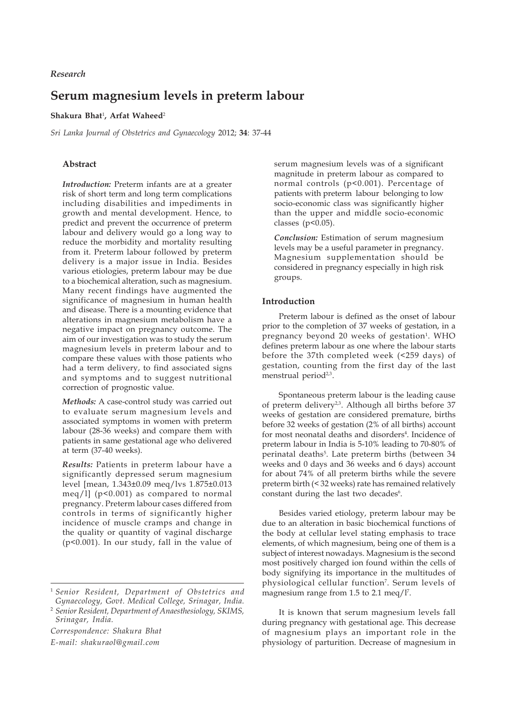*Research*

# **Serum magnesium levels in preterm labour**

# **Shakura Bhat**<sup>1</sup> **, Arfat Waheed**<sup>2</sup>

*Sri Lanka Journal of Obstetrics and Gynaecology* 2012; **34**: 37-44

#### **Abstract**

*Introduction:* Preterm infants are at a greater risk of short term and long term complications including disabilities and impediments in growth and mental development. Hence, to predict and prevent the occurrence of preterm labour and delivery would go a long way to reduce the morbidity and mortality resulting from it. Preterm labour followed by preterm delivery is a major issue in India. Besides various etiologies, preterm labour may be due to a biochemical alteration, such as magnesium. Many recent findings have augmented the significance of magnesium in human health and disease. There is a mounting evidence that alterations in magnesium metabolism have a negative impact on pregnancy outcome. The aim of our investigation was to study the serum magnesium levels in preterm labour and to compare these values with those patients who had a term delivery, to find associated signs and symptoms and to suggest nutritional correction of prognostic value.

*Methods:* A case-control study was carried out to evaluate serum magnesium levels and associated symptoms in women with preterm labour (28-36 weeks) and compare them with patients in same gestational age who delivered at term (37-40 weeks).

*Results:* Patients in preterm labour have a significantly depressed serum magnesium level [mean, 1.343±0.09 meq/lvs 1.875±0.013 meq/l] (p<0.001) as compared to normal pregnancy. Preterm labour cases differed from controls in terms of significantly higher incidence of muscle cramps and change in the quality or quantity of vaginal discharge (p<0.001). In our study, fall in the value of

*Correspondence: Shakura Bhat E-mail: shakuraol@gmail.com*

serum magnesium levels was of a significant magnitude in preterm labour as compared to normal controls (p<0.001). Percentage of patients with preterm labour belonging to low socio-economic class was significantly higher than the upper and middle socio-economic classes ( $p<0.05$ ).

*Conclusion:* Estimation of serum magnesium levels may be a useful parameter in pregnancy. Magnesium supplementation should be considered in pregnancy especially in high risk groups.

## **Introduction**

Preterm labour is defined as the onset of labour prior to the completion of 37 weeks of gestation, in a pregnancy beyond 20 weeks of gestation<sup>1</sup>. WHO defines preterm labour as one where the labour starts before the 37th completed week (<259 days) of gestation, counting from the first day of the last menstrual period<sup>2,3</sup>.

Spontaneous preterm labour is the leading cause of preterm delivery<sup>2,3</sup>. Although all births before 37 weeks of gestation are considered premature, births before 32 weeks of gestation (2% of all births) account for most neonatal deaths and disorders<sup>4</sup>. Incidence of preterm labour in India is 5-10% leading to 70-80% of perinatal deaths<sup>5</sup>. Late preterm births (between 34 weeks and 0 days and 36 weeks and 6 days) account for about 74% of all preterm births while the severe preterm birth (< 32 weeks) rate has remained relatively constant during the last two decades<sup>6</sup>.

Besides varied etiology, preterm labour may be due to an alteration in basic biochemical functions of the body at cellular level stating emphasis to trace elements, of which magnesium, being one of them is a subject of interest nowadays. Magnesium is the second most positively charged ion found within the cells of body signifying its importance in the multitudes of physiological cellular function<sup>7</sup>. Serum levels of magnesium range from 1.5 to 2.1 meq/l<sup>7</sup>.

It is known that serum magnesium levels fall during pregnancy with gestational age. This decrease of magnesium plays an important role in the physiology of parturition. Decrease of magnesium in

<sup>1</sup> *Senior Resident, Department of Obstetrics and Gynaecology, Govt. Medical College, Srinagar, India.*

<sup>2</sup> *Senior Resident, Department of Anaesthesiology, SKIMS, Srinagar, India.*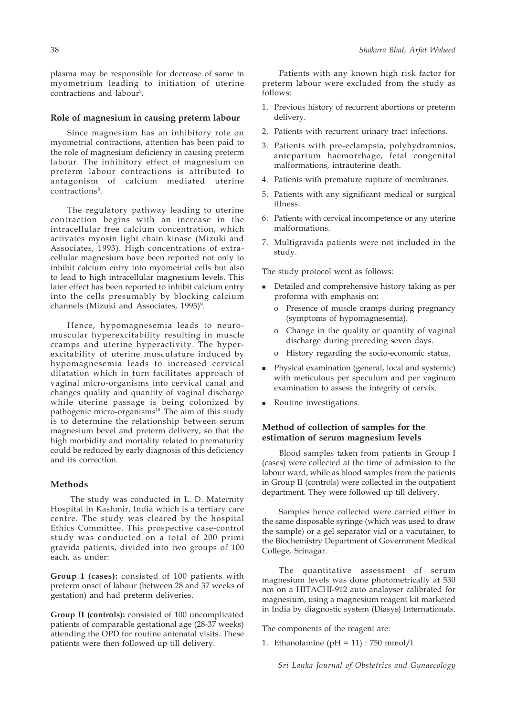plasma may be responsible for decrease of same in myometrium leading to initiation of uterine contractions and labour<sup>5</sup>.

#### **Role of magnesium in causing preterm labour**

Since magnesium has an inhibitory role on myometrial contractions, attention has been paid to the role of magnesium deficiency in causing preterm labour. The inhibitory effect of magnesium on preterm labour contractions is attributed to antagonism of calcium mediated uterine contractions<sup>8</sup>.

The regulatory pathway leading to uterine contraction begins with an increase in the intracellular free calcium concentration, which activates myosin light chain kinase (Mizuki and Associates, 1993). High concentrations of extracellular magnesium have been reported not only to inhibit calcium entry into myometrial cells but also to lead to high intracellular magnesium levels. This later effect has been reported to inhibit calcium entry into the cells presumably by blocking calcium channels (Mizuki and Associates, 1993)<sup>9</sup>.

Hence, hypomagnesemia leads to neuromuscular hyperexcitability resulting in muscle cramps and uterine hyperactivity. The hyperexcitability of uterine musculature induced by hypomagnesemia leads to increased cervical dilatation which in turn facilitates approach of vaginal micro-organisms into cervical canal and changes quality and quantity of vaginal discharge while uterine passage is being colonized by pathogenic micro-organisms<sup>10</sup>. The aim of this study is to determine the relationship between serum magnesium bevel and preterm delivery, so that the high morbidity and mortality related to prematurity could be reduced by early diagnosis of this deficiency and its correction.

#### **Methods**

 The study was conducted in L. D. Maternity Hospital in Kashmir, India which is a tertiary care centre. The study was cleared by the hospital Ethics Committee. This prospective case-control study was conducted on a total of 200 primi gravida patients, divided into two groups of 100 each, as under:

**Group 1 (cases):** consisted of 100 patients with preterm onset of labour (between 28 and 37 weeks of gestation) and had preterm deliveries.

**Group II (controls):** consisted of 100 uncomplicated patients of comparable gestational age (28-37 weeks) attending the OPD for routine antenatal visits. These patients were then followed up till delivery.

Patients with any known high risk factor for preterm labour were excluded from the study as follows:

- 1. Previous history of recurrent abortions or preterm delivery.
- 2. Patients with recurrent urinary tract infections.
- 3. Patients with pre-eclampsia, polyhydramnios, antepartum haemorrhage, fetal congenital malformations, intrauterine death.
- 4. Patients with premature rupture of membranes.
- 5. Patients with any significant medical or surgical illness.
- 6. Patients with cervical incompetence or any uterine malformations.
- 7. Multigravida patients were not included in the study.

The study protocol went as follows:

- Detailed and comprehensive history taking as per proforma with emphasis on:
	- o Presence of muscle cramps during pregnancy (symptoms of hypomagnesemia).
	- o Change in the quality or quantity of vaginal discharge during preceding seven days.
	- o History regarding the socio-economic status.
- **Physical examination (general, local and systemic)** with meticulous per speculum and per vaginum examination to assess the integrity of cervix.
- Routine investigations.

# **Method of collection of samples for the estimation of serum magnesium levels**

Blood samples taken from patients in Group I (cases) were collected at the time of admission to the labour ward, while as blood samples from the patients in Group II (controls) were collected in the outpatient department. They were followed up till delivery.

Samples hence collected were carried either in the same disposable syringe (which was used to draw the sample) or a gel separator vial or a vacutainer, to the Biochemistry Department of Government Medical College, Srinagar.

The quantitative assessment of serum magnesium levels was done photometrically at 530 nm on a HITACHI-912 auto analayser calibrated for magnesium, using a magnesium reagent kit marketed in India by diagnostic system (Diasys) Internationals.

The components of the reagent are:

1. Ethanolamine (pH = 11) : 750 mmol/l

*Sri Lanka Journal of Obstetrics and Gynaecology*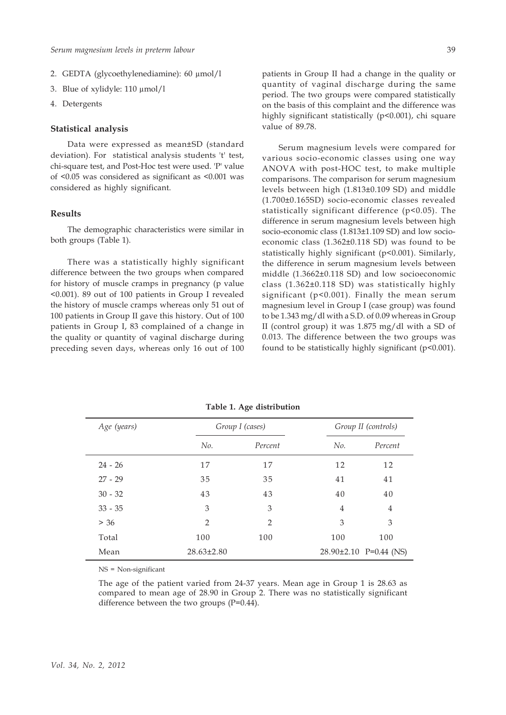- 2. GEDTA (glycoethylenediamine): 60 μmol/l
- 3. Blue of xylidyle: 110 μmol/l
- 4. Detergents

#### **Statistical analysis**

Data were expressed as mean±SD (standard deviation). For statistical analysis students 't' test, chi-square test, and Post-Hoc test were used. 'P' value of <0.05 was considered as significant as <0.001 was considered as highly significant.

# **Results**

The demographic characteristics were similar in both groups (Table 1).

There was a statistically highly significant difference between the two groups when compared for history of muscle cramps in pregnancy (p value <0.001). 89 out of 100 patients in Group I revealed the history of muscle cramps whereas only 51 out of 100 patients in Group II gave this history. Out of 100 patients in Group I, 83 complained of a change in the quality or quantity of vaginal discharge during preceding seven days, whereas only 16 out of 100

patients in Group II had a change in the quality or quantity of vaginal discharge during the same period. The two groups were compared statistically on the basis of this complaint and the difference was highly significant statistically (p<0.001), chi square value of 89.78.

Serum magnesium levels were compared for various socio-economic classes using one way ANOVA with post-HOC test, to make multiple comparisons. The comparison for serum magnesium levels between high (1.813±0.109 SD) and middle (1.700±0.165SD) socio-economic classes revealed statistically significant difference (p<0.05). The difference in serum magnesium levels between high socio-economic class (1.813±1.109 SD) and low socioeconomic class (1.362±0.118 SD) was found to be statistically highly significant (p<0.001). Similarly, the difference in serum magnesium levels between middle (1.3662±0.118 SD) and low socioeconomic class (1.362±0.118 SD) was statistically highly significant (p<0.001). Finally the mean serum magnesium level in Group I (case group) was found to be 1.343 mg/dl with a S.D. of 0.09 whereas in Group II (control group) it was 1.875 mg/dl with a SD of 0.013. The difference between the two groups was found to be statistically highly significant ( $p$ <0.001).

| Age (years) |                  | Group I (cases) |                | Group II (controls)        |
|-------------|------------------|-----------------|----------------|----------------------------|
|             | No.              | Percent         |                | Percent                    |
| $24 - 26$   | 17               | 17              | 12             | 12                         |
| $27 - 29$   | 35               | 35              | 41             | 41                         |
| $30 - 32$   | 43               | 43              | 40             | 40                         |
| $33 - 35$   | 3                | 3               | $\overline{4}$ | $\overline{4}$             |
| > 36        | $\overline{2}$   | $\mathcal{P}$   | 3              | 3                          |
| Total       | 100              | 100             | 100            | 100                        |
| Mean        | $28.63 \pm 2.80$ |                 |                | $28.90\pm2.10$ P=0.44 (NS) |

**Table 1. Age distribution**

NS = Non-significant

The age of the patient varied from 24-37 years. Mean age in Group 1 is 28.63 as compared to mean age of 28.90 in Group 2. There was no statistically significant difference between the two groups (P=0.44).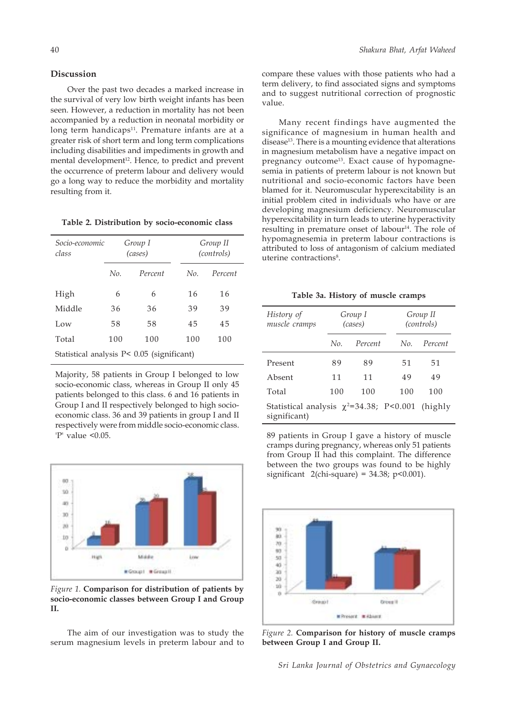# **Discussion**

Over the past two decades a marked increase in the survival of very low birth weight infants has been seen. However, a reduction in mortality has not been accompanied by a reduction in neonatal morbidity or long term handicaps $11$ . Premature infants are at a greater risk of short term and long term complications including disabilities and impediments in growth and mental development<sup>12</sup>. Hence, to predict and prevent the occurrence of preterm labour and delivery would go a long way to reduce the morbidity and mortality resulting from it.

| Table 2. Distribution by socio-economic class |  |  |  |
|-----------------------------------------------|--|--|--|
|-----------------------------------------------|--|--|--|

| Socio-economic<br>class                       | Group I<br>(cases) |         |     | Group II<br>(controls) |  |  |
|-----------------------------------------------|--------------------|---------|-----|------------------------|--|--|
|                                               | No.                | Percent | No. | Percent                |  |  |
| High                                          | 6                  | 6       | 16  | 16                     |  |  |
| Middle                                        | 36                 | 36      | 39  | 39                     |  |  |
| Low                                           | 58                 | 58      | 45  | 45                     |  |  |
| Total                                         | 100                | 100     | 100 | 100                    |  |  |
| Statistical analysis $P < 0.05$ (significant) |                    |         |     |                        |  |  |

Majority, 58 patients in Group I belonged to low socio-economic class, whereas in Group II only 45 patients belonged to this class. 6 and 16 patients in Group I and II respectively belonged to high socioeconomic class. 36 and 39 patients in group I and II respectively were from middle socio-economic class.  $'P'$  value <0.05.



*Figure 1.* **Comparison for distribution of patients by socio-economic classes between Group I and Group II.**

The aim of our investigation was to study the serum magnesium levels in preterm labour and to compare these values with those patients who had a term delivery, to find associated signs and symptoms and to suggest nutritional correction of prognostic value.

Many recent findings have augmented the significance of magnesium in human health and disease<sup>13</sup>. There is a mounting evidence that alterations in magnesium metabolism have a negative impact on pregnancy outcome<sup>13</sup>. Exact cause of hypomagnesemia in patients of preterm labour is not known but nutritional and socio-economic factors have been blamed for it. Neuromuscular hyperexcitability is an initial problem cited in individuals who have or are developing magnesium deficiency. Neuromuscular hyperexcitability in turn leads to uterine hyperactivity resulting in premature onset of labour<sup>14</sup>. The role of hypomagnesemia in preterm labour contractions is attributed to loss of antagonism of calcium mediated uterine contractions<sup>8</sup>.

| Table 3a. History of muscle cramps |  |  |  |
|------------------------------------|--|--|--|
|------------------------------------|--|--|--|

| History of<br>muscle cramps                                           | Group I<br>(cases) |         |     | Group II<br>(controls) |
|-----------------------------------------------------------------------|--------------------|---------|-----|------------------------|
|                                                                       | No.                | Percent | No. | Percent                |
| Present                                                               | 89                 | 89      | 51  | 51                     |
| Absent                                                                | 11                 | 11      | 49  | 49                     |
| Total                                                                 | 100                | 100     | 100 | 100                    |
| Statistical analysis $\chi^2$ =34.38; P<0.001 (highly<br>significant) |                    |         |     |                        |

89 patients in Group I gave a history of muscle cramps during pregnancy, whereas only 51 patients from Group II had this complaint. The difference between the two groups was found to be highly significant  $2$ (chi-square) = 34.38; p<0.001).



*Figure 2.* **Comparison for history of muscle cramps between Group I and Group II.**

*Sri Lanka Journal of Obstetrics and Gynaecology*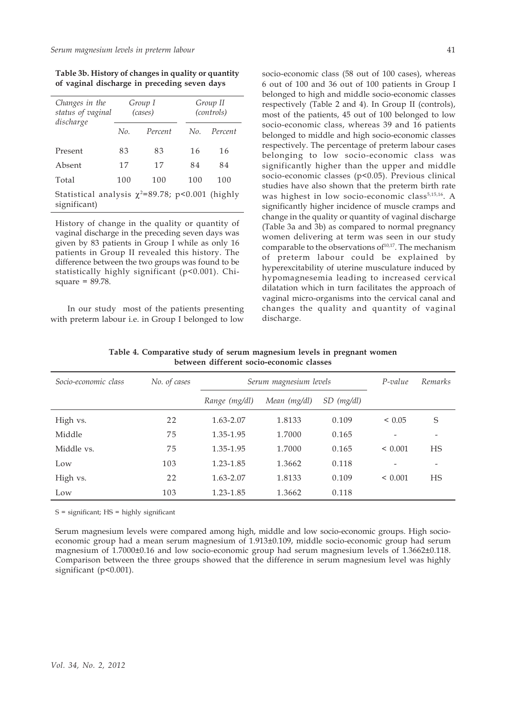**Table 3b. History of changes in quality or quantity of vaginal discharge in preceding seven days**

| Changes in the<br>status of vaginal                                   |     | Group I<br>(cases) | Group II<br>(controls) |         |  |
|-----------------------------------------------------------------------|-----|--------------------|------------------------|---------|--|
| discharge                                                             | No. | Percent            | No.                    | Percent |  |
| Present                                                               | 83  | 83                 | 16                     | 16      |  |
| Absent                                                                | 17  | 17                 | 84                     | 84      |  |
| Total                                                                 | 100 | 100                | 100                    | 100     |  |
| Statistical analysis $\chi^2$ =89.78; p<0.001 (highly<br>significant) |     |                    |                        |         |  |

History of change in the quality or quantity of vaginal discharge in the preceding seven days was given by 83 patients in Group I while as only 16 patients in Group II revealed this history. The difference between the two groups was found to be statistically highly significant (p<0.001). Chisquare = 89.78.

In our study most of the patients presenting with preterm labour i.e. in Group I belonged to low

socio-economic class (58 out of 100 cases), whereas 6 out of 100 and 36 out of 100 patients in Group I belonged to high and middle socio-economic classes respectively (Table 2 and 4). In Group II (controls), most of the patients, 45 out of 100 belonged to low socio-economic class, whereas 39 and 16 patients belonged to middle and high socio-economic classes respectively. The percentage of preterm labour cases belonging to low socio-economic class was significantly higher than the upper and middle socio-economic classes (p<0.05). Previous clinical studies have also shown that the preterm birth rate was highest in low socio-economic class<sup>5,15,16</sup>. A significantly higher incidence of muscle cramps and change in the quality or quantity of vaginal discharge (Table 3a and 3b) as compared to normal pregnancy women delivering at term was seen in our study comparable to the observations of  $10,17$ . The mechanism of preterm labour could be explained by hyperexcitability of uterine musculature induced by hypomagnesemia leading to increased cervical dilatation which in turn facilitates the approach of vaginal micro-organisms into the cervical canal and changes the quality and quantity of vaginal discharge.

| Socio-economic class | No. of cases | Serum magnesium levels |              |              | $P-value$    | Remarks |
|----------------------|--------------|------------------------|--------------|--------------|--------------|---------|
|                      |              | Range (mg/dl)          | Mean (mg/dl) | $SD$ (mg/dl) |              |         |
| High vs.             | 22           | 1.63-2.07              | 1.8133       | 0.109        | < 0.05       | S       |
| Middle               | 75           | 1.35-1.95              | 1.7000       | 0.165        |              |         |
| Middle vs.           | 75           | 1.35-1.95              | 1.7000       | 0.165        | $\leq 0.001$ | HS      |
| Low                  | 103          | 1.23-1.85              | 1.3662       | 0.118        |              |         |
| High vs.             | 22           | 1.63-2.07              | 1.8133       | 0.109        | ${}< 0.001$  | HS      |
| Low                  | 103          | 1.23-1.85              | 1.3662       | 0.118        |              |         |

**Table 4. Comparative study of serum magnesium levels in pregnant women between different socio-economic classes**

 $S =$  significant;  $HS =$  highly significant

Serum magnesium levels were compared among high, middle and low socio-economic groups. High socioeconomic group had a mean serum magnesium of 1.913±0.109, middle socio-economic group had serum magnesium of 1.7000±0.16 and low socio-economic group had serum magnesium levels of 1.3662±0.118. Comparison between the three groups showed that the difference in serum magnesium level was highly significant (p<0.001).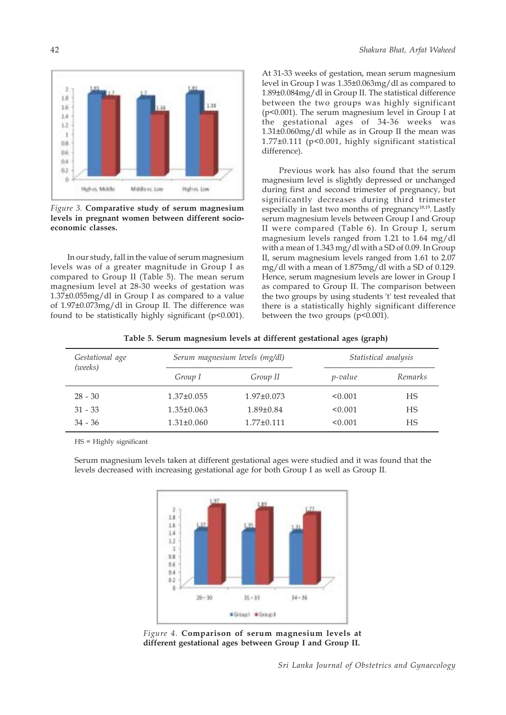

*Figure 3.* **Comparative study of serum magnesium levels in pregnant women between different socioeconomic classes.**

In our study, fall in the value of serum magnesium levels was of a greater magnitude in Group I as compared to Group II (Table 5). The mean serum magnesium level at 28-30 weeks of gestation was 1.37±0.055mg/dl in Group I as compared to a value of 1.97±0.073mg/dl in Group II. The difference was found to be statistically highly significant (p<0.001). At 31-33 weeks of gestation, mean serum magnesium level in Group I was 1.35±0.063mg/dl as compared to 1.89±0.084mg/dl in Group II. The statistical difference between the two groups was highly significant (p<0.001). The serum magnesium level in Group I at the gestational ages of 34-36 weeks was 1.31±0.060mg/dl while as in Group II the mean was 1.77±0.111 (p<0.001, highly significant statistical difference).

Previous work has also found that the serum magnesium level is slightly depressed or unchanged during first and second trimester of pregnancy, but significantly decreases during third trimester especially in last two months of pregnancy<sup>18,19</sup>. Lastly serum magnesium levels between Group I and Group II were compared (Table 6). In Group I, serum magnesium levels ranged from 1.21 to 1.64 mg/dl with a mean of 1.343 mg/dl with a SD of 0.09. In Group II, serum magnesium levels ranged from 1.61 to 2.07 mg/dl with a mean of 1.875mg/dl with a SD of 0.129. Hence, serum magnesium levels are lower in Group I as compared to Group II. The comparison between the two groups by using students 't' test revealed that there is a statistically highly significant difference between the two groups (p<0.001).

| Gestational age<br>(weeks) |                  | Serum magnesium levels (mg/dl) | Statistical analysis |         |  |
|----------------------------|------------------|--------------------------------|----------------------|---------|--|
|                            | Group I          | Group II                       | <i>p</i> -value      | Remarks |  |
| $28 - 30$                  | $1.37 \pm 0.055$ | $1.97 \pm 0.073$               | < 0.001              | HS      |  |
| $31 - 33$                  | $1.35 \pm 0.063$ | $1.89 \pm 0.84$                | < 0.001              | HS      |  |
| $34 - 36$                  | $1.31 \pm 0.060$ | $1.77 \pm 0.111$               | < 0.001              | HS      |  |
|                            |                  |                                |                      |         |  |

**Table 5. Serum magnesium levels at different gestational ages (graph)**

HS = Highly significant

Serum magnesium levels taken at different gestational ages were studied and it was found that the levels decreased with increasing gestational age for both Group I as well as Group II.



*Figure 4.* **Comparison of serum magnesium levels at different gestational ages between Group I and Group II.**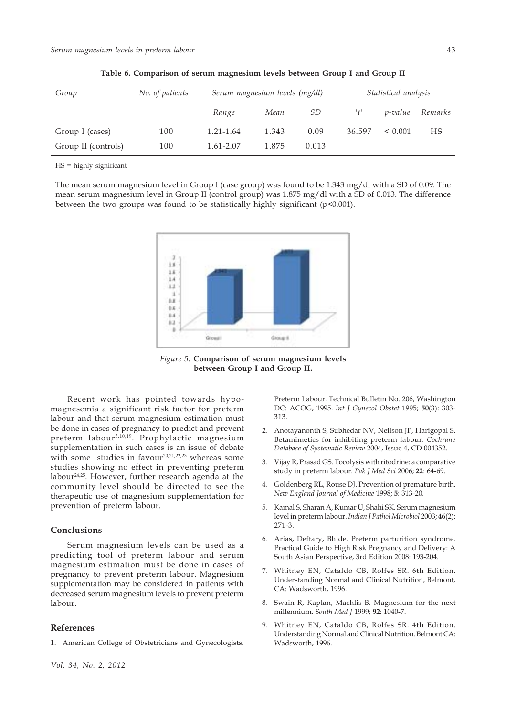| Group               | No. of patients | Serum magnesium levels (mg/dl) |       |       |        | Statistical analysis |         |
|---------------------|-----------------|--------------------------------|-------|-------|--------|----------------------|---------|
|                     |                 | Range                          | Mean  | SD    | 't'    | <i>p</i> -value      | Remarks |
| Group I (cases)     | 100             | 1.21-1.64                      | 1.343 | 0.09  | 36.597 | $\leq 0.001$         | НS      |
| Group II (controls) | 100             | 1.61-2.07                      | 1.875 | 0.013 |        |                      |         |

**Table 6. Comparison of serum magnesium levels between Group I and Group II**

HS = highly significant

The mean serum magnesium level in Group I (case group) was found to be 1.343 mg/dl with a SD of 0.09. The mean serum magnesium level in Group II (control group) was 1.875 mg/dl with a SD of 0.013. The difference between the two groups was found to be statistically highly significant (p<0.001).



*Figure 5.* **Comparison of serum magnesium levels between Group I and Group II.**

Recent work has pointed towards hypomagnesemia a significant risk factor for preterm labour and that serum magnesium estimation must be done in cases of pregnancy to predict and prevent preterm labour<sup>5,10,19</sup>. Prophylactic magnesium supplementation in such cases is an issue of debate with some studies in favour<sup>20,21,22,23</sup> whereas some studies showing no effect in preventing preterm labour24,25. However, further research agenda at the community level should be directed to see the therapeutic use of magnesium supplementation for prevention of preterm labour.

#### **Conclusions**

Serum magnesium levels can be used as a predicting tool of preterm labour and serum magnesium estimation must be done in cases of pregnancy to prevent preterm labour. Magnesium supplementation may be considered in patients with decreased serum magnesium levels to prevent preterm labour.

## **References**

1. American College of Obstetricians and Gynecologists.

Preterm Labour. Technical Bulletin No. 206, Washington DC: ACOG, 1995. *Int J Gynecol Obstet* 1995; **50**(3): 303- 313.

- 2. Anotayanonth S, Subhedar NV, Neilson JP, Harigopal S. Betamimetics for inhibiting preterm labour. *Cochrane Database of Systematic Review* 2004, Issue 4, CD 004352.
- 3. Vijay R, Prasad GS. Tocolysis with ritodrine: a comparative study in preterm labour. *Pak J Med Sci* 2006; **22**: 64-69.
- 4. Goldenberg RL, Rouse DJ. Prevention of premature birth. *New England Journal of Medicine* 1998; **5**: 313-20.
- 5. Kamal S, Sharan A, Kumar U, Shahi SK. Serum magnesium level in preterm labour. *Indian J Pathol Microbiol* 2003; **46**(2): 271-3.
- 6. Arias, Deftary, Bhide. Preterm parturition syndrome. Practical Guide to High Risk Pregnancy and Delivery: A South Asian Perspective, 3rd Edition 2008: 193-204.
- 7. Whitney EN, Cataldo CB, Rolfes SR. 6th Edition. Understanding Normal and Clinical Nutrition, Belmont, CA: Wadsworth, 1996.
- 8. Swain R, Kaplan, Machlis B. Magnesium for the next millennium. *South Med J* 1999; **92**: 1040-7.
- 9. Whitney EN, Cataldo CB, Rolfes SR. 4th Edition. Understanding Normal and Clinical Nutrition. Belmont CA: Wadsworth, 1996.